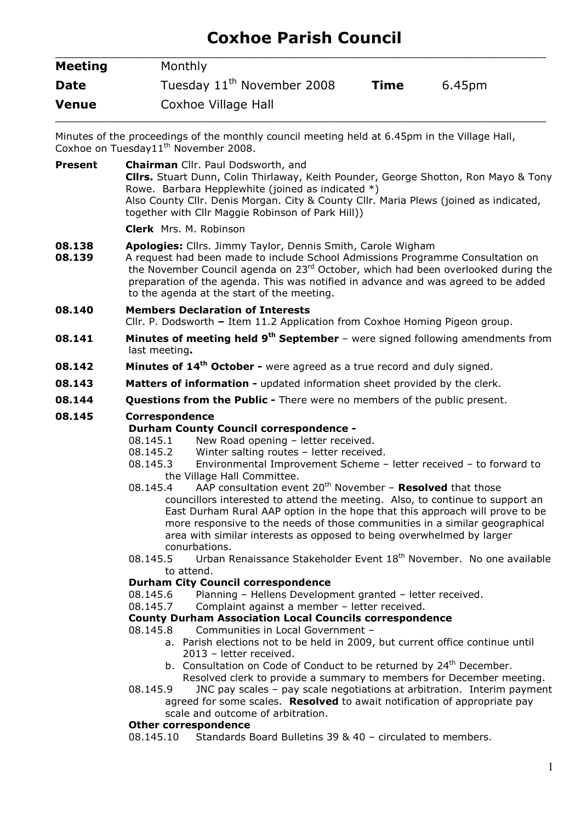# Coxhoe Parish Council

| <b>Meeting</b> | Monthly                                |      |        |  |
|----------------|----------------------------------------|------|--------|--|
| <b>Date</b>    | Tuesday 11 <sup>th</sup> November 2008 | Time | 6.45pm |  |
| Venue          | Coxhoe Village Hall                    |      |        |  |

Minutes of the proceedings of the monthly council meeting held at 6.45pm in the Village Hall, Coxhoe on Tuesday11<sup>th</sup> November 2008.

Present Chairman Cllr. Paul Dodsworth, and Cllrs. Stuart Dunn, Colin Thirlaway, Keith Pounder, George Shotton, Ron Mayo & Tony Rowe. Barbara Hepplewhite (joined as indicated \*) Also County Cllr. Denis Morgan. City & County Cllr. Maria Plews (joined as indicated, together with Cllr Maggie Robinson of Park Hill)) Clerk Mrs. M. Robinson

- **08.138 Apologies:** Cllrs. Jimmy Taylor, Dennis Smith, Carole Wigham
- **08.139** A request had been made to include School Admissions Programme Consultation on the November Council agenda on 23<sup>rd</sup> October, which had been overlooked during the preparation of the agenda. This was notified in advance and was agreed to be added to the agenda at the start of the meeting.
- 08.140 Members Declaration of Interests
- Cllr. P. Dodsworth Item 11.2 Application from Coxhoe Homing Pigeon group.
- **08.141** Minutes of meeting held  $9<sup>th</sup>$  September were signed following amendments from last meeting.
- **08.142** Minutes of 14<sup>th</sup> October were agreed as a true record and duly signed.
- **08.143** Matters of information updated information sheet provided by the clerk.
- **08.144** Questions from the Public There were no members of the public present.

# 08.145 Correspondence

#### Durham County Council correspondence -

- 08.145.1 New Road opening letter received.
- 08.145.2 Winter salting routes letter received.
- 08.145.3 Environmental Improvement Scheme letter received to forward to the Village Hall Committee.
- 08.145.4 AAP consultation event  $20^{th}$  November **Resolved** that those councillors interested to attend the meeting. Also, to continue to support an East Durham Rural AAP option in the hope that this approach will prove to be more responsive to the needs of those communities in a similar geographical area with similar interests as opposed to being overwhelmed by larger conurbations.
- 08.145.5 Urban Renaissance Stakeholder Event  $18<sup>th</sup>$  November. No one available to attend.

# Durham City Council correspondence

- 08.145.6 Planning Hellens Development granted letter received.
- 08.145.7 Complaint against a member letter received.

# County Durham Association Local Councils correspondence

- 08.145.8 Communities in Local Government
	- a. Parish elections not to be held in 2009, but current office continue until 2013 – letter received.
	- b. Consultation on Code of Conduct to be returned by 24<sup>th</sup> December. Resolved clerk to provide a summary to members for December meeting.
- 08.145.9 JNC pay scales pay scale negotiations at arbitration. Interim payment agreed for some scales. Resolved to await notification of appropriate pay scale and outcome of arbitration.

#### Other correspondence

08.145.10 Standards Board Bulletins 39 & 40 – circulated to members.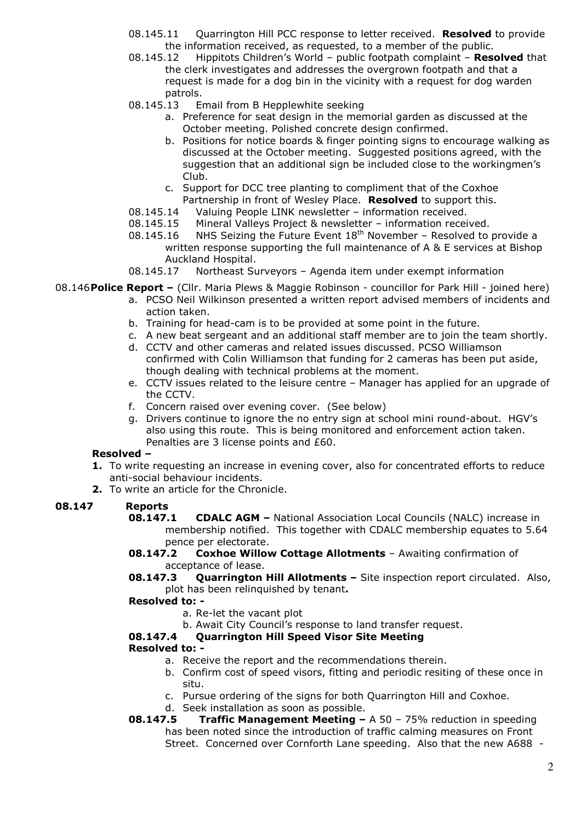- 08.145.11 Quarrington Hill PCC response to letter received. Resolved to provide the information received, as requested, to a member of the public.
- 08.145.12 Hippitots Children's World public footpath complaint Resolved that the clerk investigates and addresses the overgrown footpath and that a request is made for a dog bin in the vicinity with a request for dog warden patrols.
- 08.145.13 Email from B Hepplewhite seeking
	- a. Preference for seat design in the memorial garden as discussed at the October meeting. Polished concrete design confirmed.
	- b. Positions for notice boards & finger pointing signs to encourage walking as discussed at the October meeting. Suggested positions agreed, with the suggestion that an additional sign be included close to the workingmen's Club.
	- c. Support for DCC tree planting to compliment that of the Coxhoe Partnership in front of Wesley Place. Resolved to support this.
- 08.145.14 Valuing People LINK newsletter information received.
- 08.145.15 Mineral Valleys Project & newsletter information received.
- 08.145.16 NHS Seizing the Future Event  $18<sup>th</sup>$  November Resolved to provide a written response supporting the full maintenance of A & E services at Bishop Auckland Hospital.
- 08.145.17 Northeast Surveyors Agenda item under exempt information

08.146 Police Report – (Cllr. Maria Plews & Maggie Robinson - councillor for Park Hill - joined here)

- a. PCSO Neil Wilkinson presented a written report advised members of incidents and action taken.
- b. Training for head-cam is to be provided at some point in the future.
- c. A new beat sergeant and an additional staff member are to join the team shortly.
- d. CCTV and other cameras and related issues discussed. PCSO Williamson confirmed with Colin Williamson that funding for 2 cameras has been put aside, though dealing with technical problems at the moment.
- e. CCTV issues related to the leisure centre Manager has applied for an upgrade of the CCTV.
- f. Concern raised over evening cover. (See below)
- g. Drivers continue to ignore the no entry sign at school mini round-about. HGV's also using this route. This is being monitored and enforcement action taken. Penalties are 3 license points and £60.

#### Resolved –

- 1. To write requesting an increase in evening cover, also for concentrated efforts to reduce anti-social behaviour incidents.
- 2. To write an article for the Chronicle.

# 08.147 Reports

- **08.147.1 CDALC AGM** National Association Local Councils (NALC) increase in membership notified. This together with CDALC membership equates to 5.64 pence per electorate.
- 08.147.2 Coxhoe Willow Cottage Allotments Awaiting confirmation of acceptance of lease.
- **08.147.3** Quarrington Hill Allotments Site inspection report circulated. Also, plot has been relinquished by tenant.

#### Resolved to: -

- a. Re-let the vacant plot
- b. Await City Council's response to land transfer request.

# 08.147.4 Quarrington Hill Speed Visor Site Meeting

#### Resolved to: -

- a. Receive the report and the recommendations therein.
- b. Confirm cost of speed visors, fitting and periodic resiting of these once in situ.
- c. Pursue ordering of the signs for both Quarrington Hill and Coxhoe.
- d. Seek installation as soon as possible.
- **08.147.5** Traffic Management Meeting  $A 50 75\%$  reduction in speeding has been noted since the introduction of traffic calming measures on Front Street. Concerned over Cornforth Lane speeding. Also that the new A688 -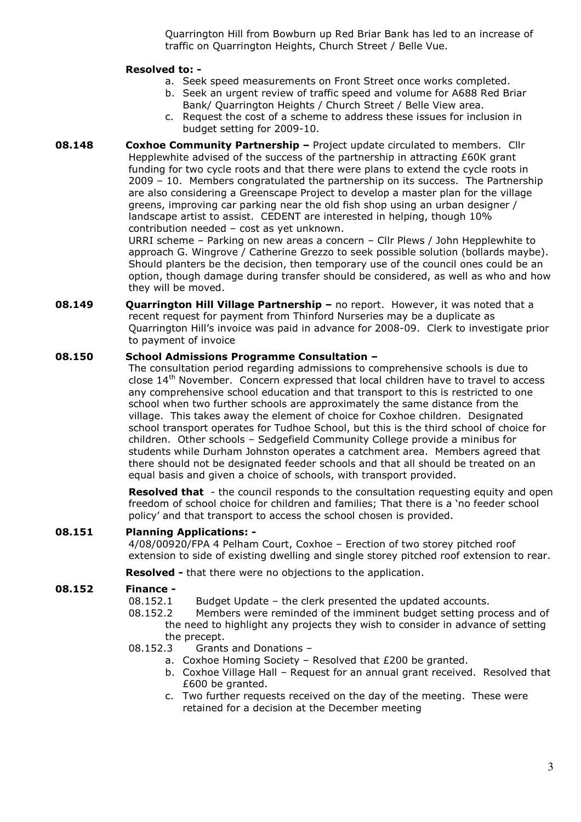Quarrington Hill from Bowburn up Red Briar Bank has led to an increase of traffic on Quarrington Heights, Church Street / Belle Vue.

## Resolved to: -

- a. Seek speed measurements on Front Street once works completed.
- b. Seek an urgent review of traffic speed and volume for A688 Red Briar Bank/ Quarrington Heights / Church Street / Belle View area.
- c. Request the cost of a scheme to address these issues for inclusion in budget setting for 2009-10.
- **08.148** Coxhoe Community Partnership Project update circulated to members. Cllr Hepplewhite advised of the success of the partnership in attracting £60K grant funding for two cycle roots and that there were plans to extend the cycle roots in 2009 – 10. Members congratulated the partnership on its success. The Partnership are also considering a Greenscape Project to develop a master plan for the village greens, improving car parking near the old fish shop using an urban designer / landscape artist to assist. CEDENT are interested in helping, though 10% contribution needed – cost as yet unknown.

URRI scheme – Parking on new areas a concern – Cllr Plews / John Hepplewhite to approach G. Wingrove / Catherine Grezzo to seek possible solution (bollards maybe). Should planters be the decision, then temporary use of the council ones could be an option, though damage during transfer should be considered, as well as who and how they will be moved.

08.149 Ouarrington Hill Village Partnership – no report. However, it was noted that a recent request for payment from Thinford Nurseries may be a duplicate as Quarrington Hill's invoice was paid in advance for 2008-09. Clerk to investigate prior to payment of invoice

## 08.150 School Admissions Programme Consultation –

The consultation period regarding admissions to comprehensive schools is due to close 14th November. Concern expressed that local children have to travel to access any comprehensive school education and that transport to this is restricted to one school when two further schools are approximately the same distance from the village. This takes away the element of choice for Coxhoe children. Designated school transport operates for Tudhoe School, but this is the third school of choice for children. Other schools – Sedgefield Community College provide a minibus for students while Durham Johnston operates a catchment area. Members agreed that there should not be designated feeder schools and that all should be treated on an equal basis and given a choice of schools, with transport provided.

**Resolved that** - the council responds to the consultation requesting equity and open freedom of school choice for children and families; That there is a 'no feeder school policy' and that transport to access the school chosen is provided.

# 08.151 Planning Applications: -

4/08/00920/FPA 4 Pelham Court, Coxhoe – Erection of two storey pitched roof extension to side of existing dwelling and single storey pitched roof extension to rear.

**Resolved -** that there were no objections to the application.

# 08.152 Finance -

- 08.152.1 Budget Update the clerk presented the updated accounts.
- 08.152.2 Members were reminded of the imminent budget setting process and of the need to highlight any projects they wish to consider in advance of setting the precept.
- 08.152.3 Grants and Donations
	- a. Coxhoe Homing Society Resolved that £200 be granted.
	- b. Coxhoe Village Hall Request for an annual grant received. Resolved that £600 be granted.
	- c. Two further requests received on the day of the meeting. These were retained for a decision at the December meeting